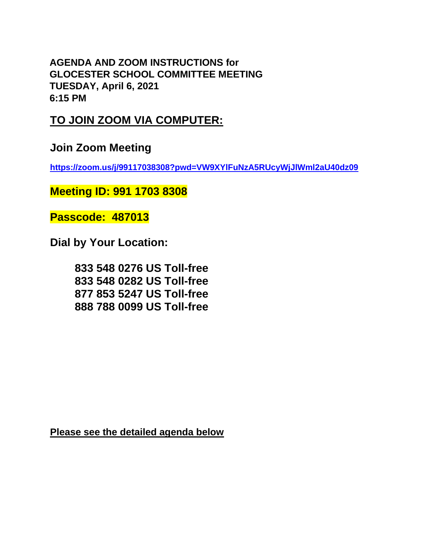**AGENDA AND ZOOM INSTRUCTIONS for GLOCESTER SCHOOL COMMITTEE MEETING TUESDAY, April 6, 2021 6:15 PM** 

## **TO JOIN ZOOM VIA COMPUTER:**

**Join Zoom Meeting**

**<https://zoom.us/j/99117038308?pwd=VW9XYlFuNzA5RUcyWjJlWml2aU40dz09>**

**Meeting ID: 991 1703 8308**

**Passcode: 487013**

**Dial by Your Location:**

**833 548 0276 US Toll-free 833 548 0282 US Toll-free 877 853 5247 US Toll-free 888 788 0099 US Toll-free**

**Please see the detailed agenda below**